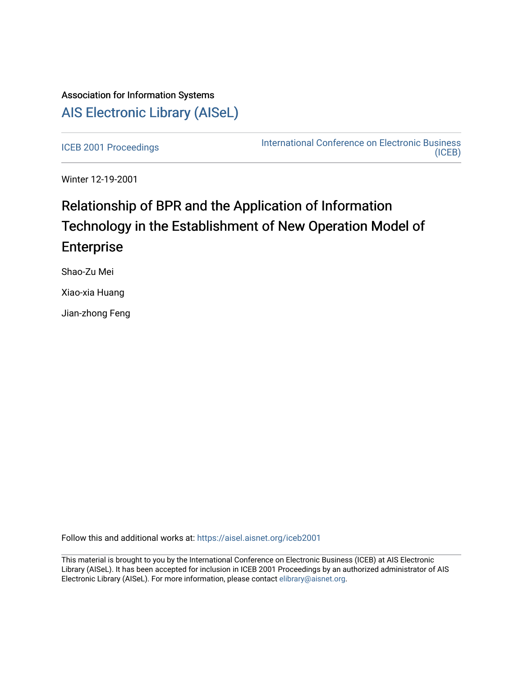# Association for Information Systems [AIS Electronic Library \(AISeL\)](https://aisel.aisnet.org/)

[ICEB 2001 Proceedings](https://aisel.aisnet.org/iceb2001) **International Conference on Electronic Business** [\(ICEB\)](https://aisel.aisnet.org/iceb) 

Winter 12-19-2001

# Relationship of BPR and the Application of Information Technology in the Establishment of New Operation Model of Enterprise

Shao-Zu Mei

Xiao-xia Huang

Jian-zhong Feng

Follow this and additional works at: [https://aisel.aisnet.org/iceb2001](https://aisel.aisnet.org/iceb2001?utm_source=aisel.aisnet.org%2Ficeb2001%2F107&utm_medium=PDF&utm_campaign=PDFCoverPages)

This material is brought to you by the International Conference on Electronic Business (ICEB) at AIS Electronic Library (AISeL). It has been accepted for inclusion in ICEB 2001 Proceedings by an authorized administrator of AIS Electronic Library (AISeL). For more information, please contact [elibrary@aisnet.org.](mailto:elibrary@aisnet.org%3E)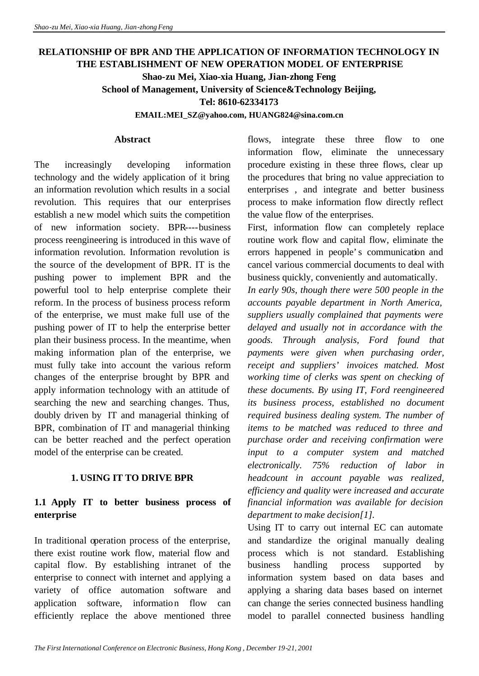## **RELATIONSHIP OF BPR AND THE APPLICATION OF INFORMATION TECHNOLOGY IN THE ESTABLISHMENT OF NEW OPERATION MODEL OF ENTERPRISE Shao-zu Mei, Xiao-xia Huang, Jian-zhong Feng School of Management, University of Science&Technology Beijing, Tel: 8610-62334173**

**EMAIL:MEI\_SZ@yahoo.com, HUANG824@sina.com.cn**

#### **Abstract**

The increasingly developing information technology and the widely application of it bring an information revolution which results in a social revolution. This requires that our enterprises establish a new model which suits the competition of new information society. BPR----business process reengineering is introduced in this wave of information revolution. Information revolution is the source of the development of BPR. IT is the pushing power to implement BPR and the powerful tool to help enterprise complete their reform. In the process of business process reform of the enterprise, we must make full use of the pushing power of IT to help the enterprise better plan their business process. In the meantime, when making information plan of the enterprise, we must fully take into account the various reform changes of the enterprise brought by BPR and apply information technology with an attitude of searching the new and searching changes. Thus, doubly driven by IT and managerial thinking of BPR, combination of IT and managerial thinking can be better reached and the perfect operation model of the enterprise can be created.

#### **1. USING IT TO DRIVE BPR**

#### **1.1 Apply IT to better business process of enterprise**

In traditional operation process of the enterprise, there exist routine work flow, material flow and capital flow. By establishing intranet of the enterprise to connect with internet and applying a variety of office automation software and application software, information flow can efficiently replace the above mentioned three

flows, integrate these three flow to one information flow, eliminate the unnecessary procedure existing in these three flows, clear up the procedures that bring no value appreciation to enterprises , and integrate and better business process to make information flow directly reflect the value flow of the enterprises.

First, information flow can completely replace routine work flow and capital flow, eliminate the errors happened in people's communication and cancel various commercial documents to deal with business quickly, conveniently and automatically.

*In early 90s, though there were 500 people in the accounts payable department in North America, suppliers usually complained that payments were delayed and usually not in accordance with the goods. Through analysis, Ford found that payments were given when purchasing order, receipt and suppliers' invoices matched. Most working time of clerks was spent on checking of these documents. By using IT, Ford reengineered its business process, established no document required business dealing system. The number of items to be matched was reduced to three and purchase order and receiving confirmation were input to a computer system and matched electronically. 75% reduction of labor in headcount in account payable was realized, efficiency and quality were increased and accurate financial information was available for decision department to make decision[1].*

Using IT to carry out internal EC can automate and standardize the original manually dealing process which is not standard. Establishing business handling process supported by information system based on data bases and applying a sharing data bases based on internet can change the series connected business handling model to parallel connected business handling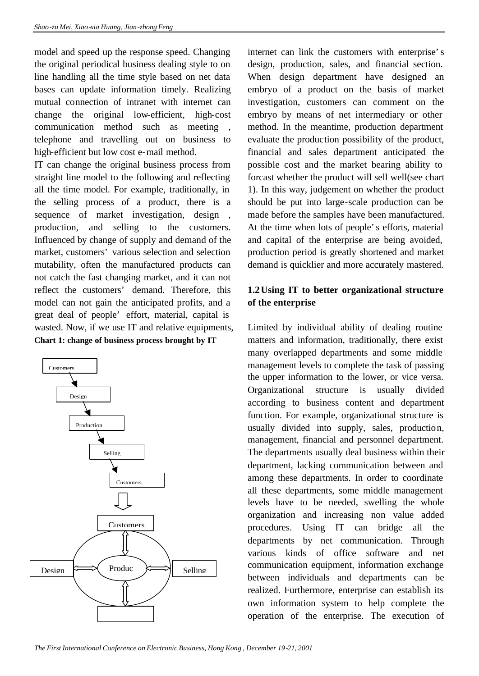model and speed up the response speed. Changing the original periodical business dealing style to on line handling all the time style based on net data bases can update information timely. Realizing mutual connection of intranet with internet can change the original low-efficient, high-cost communication method such as meeting , telephone and travelling out on business to high-efficient but low cost e-mail method.

IT can change the original business process from straight line model to the following and reflecting all the time model. For example, traditionally, in the selling process of a product, there is a sequence of market investigation, design , production, and selling to the customers. Influenced by change of supply and demand of the market, customers' various selection and selection mutability, often the manufactured products can not catch the fast changing market, and it can not reflect the customers' demand. Therefore, this model can not gain the anticipated profits, and a great deal of people' effort, material, capital is wasted. Now, if we use IT and relative equipments, **Chart 1: change of business process brought by IT**



internet can link the customers with enterprise's design, production, sales, and financial section. When design department have designed an embryo of a product on the basis of market investigation, customers can comment on the embryo by means of net intermediary or other method. In the meantime, production department evaluate the production possibility of the product, financial and sales department anticipated the possible cost and the market bearing ability to forcast whether the product will sell well(see chart 1). In this way, judgement on whether the product should be put into large-scale production can be made before the samples have been manufactured. At the time when lots of people's efforts, material and capital of the enterprise are being avoided, production period is greatly shortened and market demand is quicklier and more accurately mastered.

#### **1.2Using IT to better organizational structure of the enterprise**

Limited by individual ability of dealing routine matters and information, traditionally, there exist many overlapped departments and some middle management levels to complete the task of passing the upper information to the lower, or vice versa. Organizational structure is usually divided according to business content and department function. For example, organizational structure is usually divided into supply, sales, production, management, financial and personnel department. The departments usually deal business within their department, lacking communication between and among these departments. In order to coordinate all these departments, some middle management levels have to be needed, swelling the whole organization and increasing non value added procedures. Using IT can bridge all the departments by net communication. Through various kinds of office software and net communication equipment, information exchange between individuals and departments can be realized. Furthermore, enterprise can establish its own information system to help complete the operation of the enterprise. The execution of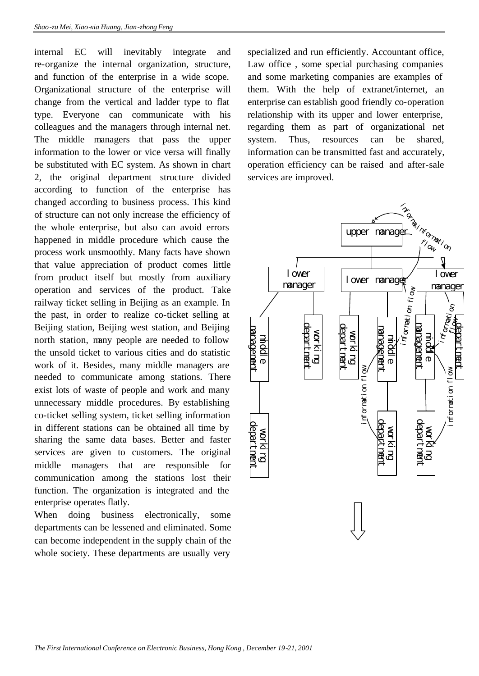internal EC will inevitably integrate and re-organize the internal organization, structure, and function of the enterprise in a wide scope. Organizational structure of the enterprise will change from the vertical and ladder type to flat type. Everyone can communicate with his colleagues and the managers through internal net. The middle managers that pass the upper information to the lower or vice versa will finally be substituted with EC system. As shown in chart 2, the original department structure divided according to function of the enterprise has changed according to business process. This kind of structure can not only increase the efficiency of the whole enterprise, but also can avoid errors happened in middle procedure which cause the process work unsmoothly. Many facts have shown that value appreciation of product comes little from product itself but mostly from auxiliary operation and services of the product. Take railway ticket selling in Beijing as an example. In the past, in order to realize co-ticket selling at Beijing station, Beijing west station, and Beijing north station, many people are needed to follow the unsold ticket to various cities and do statistic work of it. Besides, many middle managers are needed to communicate among stations. There exist lots of waste of people and work and many unnecessary middle procedures. By establishing co-ticket selling system, ticket selling information in different stations can be obtained all time by sharing the same data bases. Better and faster services are given to customers. The original middle managers that are responsible for communication among the stations lost their function. The organization is integrated and the enterprise operates flatly.

When doing business electronically, some departments can be lessened and eliminated. Some can become independent in the supply chain of the whole society. These departments are usually very

specialized and run efficiently. Accountant office, Law office , some special purchasing companies and some marketing companies are examples of them. With the help of extranet/internet, an enterprise can establish good friendly co-operation relationship with its upper and lower enterprise, regarding them as part of organizational net system. Thus, resources can be shared, information can be transmitted fast and accurately, operation efficiency can be raised and after-sale services are improved.

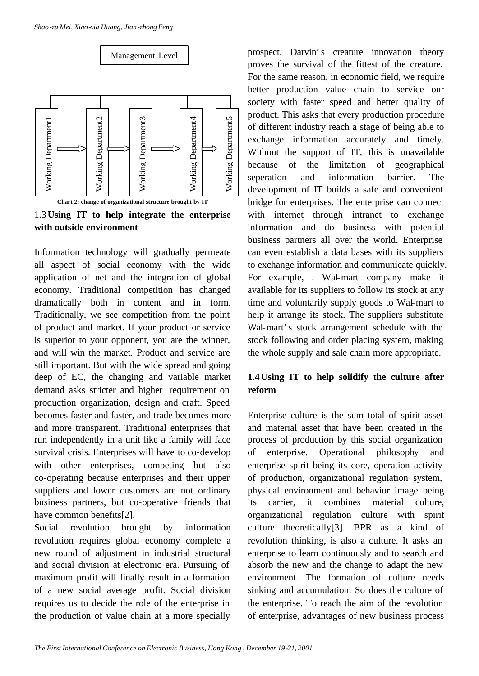

1.3**Using IT to help integrate the enterprise with outside environment**

Information technology will gradually permeate all aspect of social economy with the wide application of net and the integration of global economy. Traditional competition has changed dramatically both in content and in form. Traditionally, we see competition from the point of product and market. If your product or service is superior to your opponent, you are the winner, and will win the market. Product and service are still important. But with the wide spread and going deep of EC, the changing and variable market demand asks stricter and higher requirement on production organization, design and craft. Speed becomes faster and faster, and trade becomes more and more transparent. Traditional enterprises that run independently in a unit like a family will face survival crisis. Enterprises will have to co-develop with other enterprises, competing but also co-operating because enterprises and their upper suppliers and lower customers are not ordinary business partners, but co-operative friends that have common benefits[2].

Social revolution brought by information revolution requires global economy complete a new round of adjustment in industrial structural and social division at electronic era. Pursuing of maximum profit will finally result in a formation of a new social average profit. Social division requires us to decide the role of the enterprise in the production of value chain at a more specially

prospect. Darvin's creature innovation theory proves the survival of the fittest of the creature. For the same reason, in economic field, we require better production value chain to service our society with faster speed and better quality of product. This asks that every production procedure of different industry reach a stage of being able to exchange information accurately and timely. Without the support of IT, this is unavailable because of the limitation of geographical seperation and information barrier. The development of IT builds a safe and convenient bridge for enterprises. The enterprise can connect with internet through intranet to exchange information and do business with potential business partners all over the world. Enterprise can even establish a data bases with its suppliers to exchange information and communicate quickly. For example, . Wal-mart company make it available for its suppliers to follow its stock at any time and voluntarily supply goods to Wal-mart to help it arrange its stock. The suppliers substitute Wal-mart's stock arrangement schedule with the stock following and order placing system, making the whole supply and sale chain more appropriate.

#### **1.4Using IT to help solidify the culture after reform**

Enterprise culture is the sum total of spirit asset and material asset that have been created in the process of production by this social organization of enterprise. Operational philosophy and enterprise spirit being its core, operation activity of production, organizational regulation system, physical environment and behavior image being its carrier, it combines material culture, organizational regulation culture with spirit culture theoretically[3]. BPR as a kind of revolution thinking, is also a culture. It asks an enterprise to learn continuously and to search and absorb the new and the change to adapt the new environment. The formation of culture needs sinking and accumulation. So does the culture of the enterprise. To reach the aim of the revolution of enterprise, advantages of new business process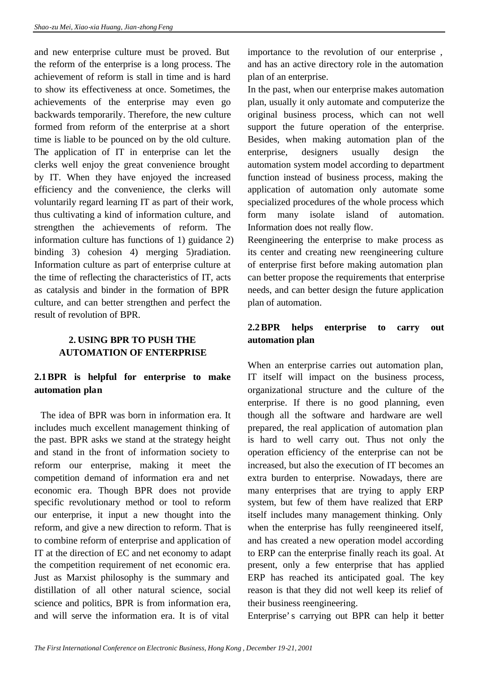and new enterprise culture must be proved. But the reform of the enterprise is a long process. The achievement of reform is stall in time and is hard to show its effectiveness at once. Sometimes, the achievements of the enterprise may even go backwards temporarily. Therefore, the new culture formed from reform of the enterprise at a short time is liable to be pounced on by the old culture. The application of IT in enterprise can let the clerks well enjoy the great convenience brought by IT. When they have enjoyed the increased efficiency and the convenience, the clerks will voluntarily regard learning IT as part of their work, thus cultivating a kind of information culture, and strengthen the achievements of reform. The information culture has functions of 1) guidance 2) binding 3) cohesion 4) merging 5) radiation. Information culture as part of enterprise culture at the time of reflecting the characteristics of IT, acts as catalysis and binder in the formation of BPR culture, and can better strengthen and perfect the result of revolution of BPR.

#### **2. USING BPR TO PUSH THE AUTOMATION OF ENTERPRISE**

## **2.1BPR is helpful for enterprise to make automation plan**

 The idea of BPR was born in information era. It includes much excellent management thinking of the past. BPR asks we stand at the strategy height and stand in the front of information society to reform our enterprise, making it meet the competition demand of information era and net economic era. Though BPR does not provide specific revolutionary method or tool to reform our enterprise, it input a new thought into the reform, and give a new direction to reform. That is to combine reform of enterprise and application of IT at the direction of EC and net economy to adapt the competition requirement of net economic era. Just as Marxist philosophy is the summary and distillation of all other natural science, social science and politics, BPR is from information era, and will serve the information era. It is of vital

importance to the revolution of our enterprise , and has an active directory role in the automation plan of an enterprise.

In the past, when our enterprise makes automation plan, usually it only automate and computerize the original business process, which can not well support the future operation of the enterprise. Besides, when making automation plan of the enterprise, designers usually design the automation system model according to department function instead of business process, making the application of automation only automate some specialized procedures of the whole process which form many isolate island of automation. Information does not really flow.

Reengineering the enterprise to make process as its center and creating new reengineering culture of enterprise first before making automation plan can better propose the requirements that enterprise needs, and can better design the future application plan of automation.

#### **2.2BPR helps enterprise to carry out automation plan**

When an enterprise carries out automation plan, IT itself will impact on the business process, organizational structure and the culture of the enterprise. If there is no good planning, even though all the software and hardware are well prepared, the real application of automation plan is hard to well carry out. Thus not only the operation efficiency of the enterprise can not be increased, but also the execution of IT becomes an extra burden to enterprise. Nowadays, there are many enterprises that are trying to apply ERP system, but few of them have realized that ERP itself includes many management thinking. Only when the enterprise has fully reengineered itself, and has created a new operation model according to ERP can the enterprise finally reach its goal. At present, only a few enterprise that has applied ERP has reached its anticipated goal. The key reason is that they did not well keep its relief of their business reengineering.

Enterprise's carrying out BPR can help it better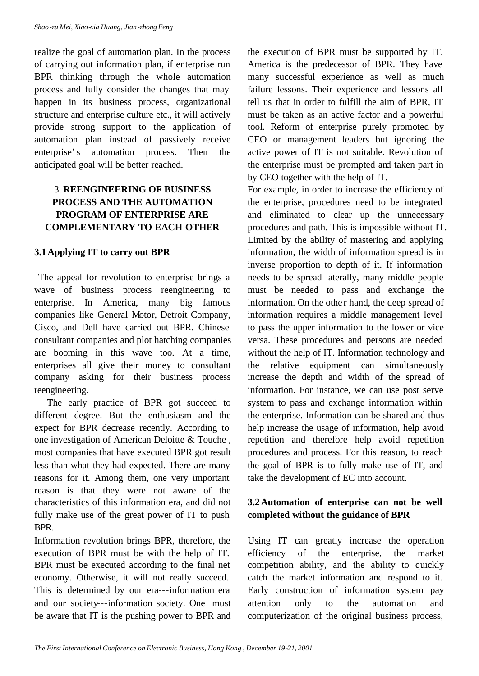realize the goal of automation plan. In the process of carrying out information plan, if enterprise run BPR thinking through the whole automation process and fully consider the changes that may happen in its business process, organizational structure and enterprise culture etc., it will actively provide strong support to the application of automation plan instead of passively receive enterprise's automation process. Then the anticipated goal will be better reached.

## 3. **REENGINEERING OF BUSINESS PROCESS AND THE AUTOMATION PROGRAM OF ENTERPRISE ARE COMPLEMENTARY TO EACH OTHER**

#### **3.1Applying IT to carry out BPR**

 The appeal for revolution to enterprise brings a wave of business process reengineering to enterprise. In America, many big famous companies like General Motor, Detroit Company, Cisco, and Dell have carried out BPR. Chinese consultant companies and plot hatching companies are booming in this wave too. At a time, enterprises all give their money to consultant company asking for their business process reengineering.

 The early practice of BPR got succeed to different degree. But the enthusiasm and the expect for BPR decrease recently. According to one investigation of American Deloitte & Touche , most companies that have executed BPR got result less than what they had expected. There are many reasons for it. Among them, one very important reason is that they were not aware of the characteristics of this information era, and did not fully make use of the great power of IT to push BPR.

Information revolution brings BPR, therefore, the execution of BPR must be with the help of IT. BPR must be executed according to the final net economy. Otherwise, it will not really succeed. This is determined by our era---information era and our society---information society. One must be aware that IT is the pushing power to BPR and

the execution of BPR must be supported by IT. America is the predecessor of BPR. They have many successful experience as well as much failure lessons. Their experience and lessons all tell us that in order to fulfill the aim of BPR, IT must be taken as an active factor and a powerful tool. Reform of enterprise purely promoted by CEO or management leaders but ignoring the active power of IT is not suitable. Revolution of the enterprise must be prompted and taken part in by CEO together with the help of IT.

For example, in order to increase the efficiency of the enterprise, procedures need to be integrated and eliminated to clear up the unnecessary procedures and path. This is impossible without IT. Limited by the ability of mastering and applying information, the width of information spread is in inverse proportion to depth of it. If information needs to be spread laterally, many middle people must be needed to pass and exchange the information. On the other hand, the deep spread of information requires a middle management level to pass the upper information to the lower or vice versa. These procedures and persons are needed without the help of IT. Information technology and the relative equipment can simultaneously increase the depth and width of the spread of information. For instance, we can use post serve system to pass and exchange information within the enterprise. Information can be shared and thus help increase the usage of information, help avoid repetition and therefore help avoid repetition procedures and process. For this reason, to reach the goal of BPR is to fully make use of IT, and take the development of EC into account.

#### **3.2Automation of enterprise can not be well completed without the guidance of BPR**

Using IT can greatly increase the operation efficiency of the enterprise, the market competition ability, and the ability to quickly catch the market information and respond to it. Early construction of information system pay attention only to the automation and computerization of the original business process,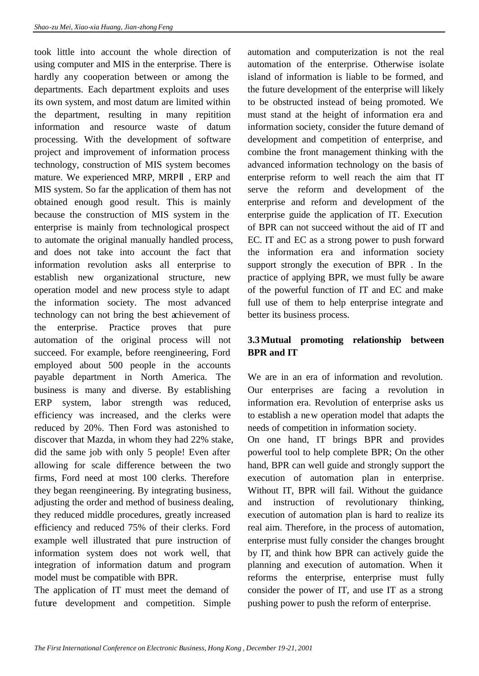took little into account the whole direction of using computer and MIS in the enterprise. There is hardly any cooperation between or among the departments. Each department exploits and uses its own system, and most datum are limited within the department, resulting in many repitition information and resource waste of datum processing. With the development of software project and improvement of information process technology, construction of MIS system becomes mature. We experienced MRP, MRP , ERP and MIS system. So far the application of them has not obtained enough good result. This is mainly because the construction of MIS system in the enterprise is mainly from technological prospect to automate the original manually handled process, and does not take into account the fact that information revolution asks all enterprise to establish new organizational structure, new operation model and new process style to adapt the information society. The most advanced technology can not bring the best achievement of the enterprise. Practice proves that pure automation of the original process will not succeed. For example, before reengineering, Ford employed about 500 people in the accounts payable department in North America. The business is many and diverse. By establishing ERP system, labor strength was reduced, efficiency was increased, and the clerks were reduced by 20%. Then Ford was astonished to discover that Mazda, in whom they had 22% stake, did the same job with only 5 people! Even after allowing for scale difference between the two firms, Ford need at most 100 clerks. Therefore they began reengineering. By integrating business, adjusting the order and method of business dealing, they reduced middle procedures, greatly increased efficiency and reduced 75% of their clerks. Ford example well illustrated that pure instruction of information system does not work well, that integration of information datum and program model must be compatible with BPR.

The application of IT must meet the demand of future development and competition. Simple automation and computerization is not the real automation of the enterprise. Otherwise isolate island of information is liable to be formed, and the future development of the enterprise will likely to be obstructed instead of being promoted. We must stand at the height of information era and information society, consider the future demand of development and competition of enterprise, and combine the front management thinking with the advanced information technology on the basis of enterprise reform to well reach the aim that IT serve the reform and development of the enterprise and reform and development of the enterprise guide the application of IT. Execution of BPR can not succeed without the aid of IT and EC. IT and EC as a strong power to push forward the information era and information society support strongly the execution of BPR . In the practice of applying BPR, we must fully be aware of the powerful function of IT and EC and make full use of them to help enterprise integrate and better its business process.

#### **3.3Mutual promoting relationship between BPR and IT**

We are in an era of information and revolution. Our enterprises are facing a revolution in information era. Revolution of enterprise asks us to establish a new operation model that adapts the needs of competition in information society.

On one hand, IT brings BPR and provides powerful tool to help complete BPR; On the other hand, BPR can well guide and strongly support the execution of automation plan in enterprise. Without IT, BPR will fail. Without the guidance and instruction of revolutionary thinking, execution of automation plan is hard to realize its real aim. Therefore, in the process of automation, enterprise must fully consider the changes brought by IT, and think how BPR can actively guide the planning and execution of automation. When it reforms the enterprise, enterprise must fully consider the power of IT, and use IT as a strong pushing power to push the reform of enterprise.